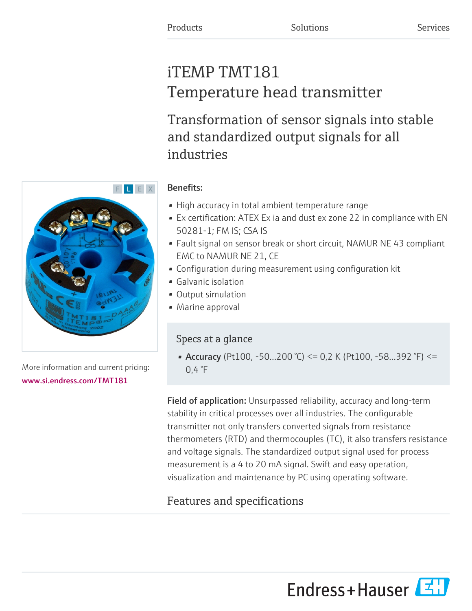# iTEMP TMT181 Temperature head transmitter

Transformation of sensor signals into stable and standardized output signals for all industries

# F L E X

More information and current pricing: [www.si.endress.com/TMT181](https://www.si.endress.com/TMT181)

### Benefits:

- High accuracy in total ambient temperature range
- Ex certification: ATEX Ex ia and dust ex zone 22 in compliance with EN 50281-1; FM IS; CSA IS
- Fault signal on sensor break or short circuit, NAMUR NE 43 compliant EMC to NAMUR NE 21, CE
- Configuration during measurement using configuration kit
- Galvanic isolation
- Output simulation
- Marine approval

### Specs at a glance

• Accuracy (Pt100, -50...200 °C) <= 0,2 K (Pt100, -58...392 °F) <=  $0,4$  °F

Field of application: Unsurpassed reliability, accuracy and long-term stability in critical processes over all industries. The configurable transmitter not only transfers converted signals from resistance thermometers (RTD) and thermocouples (TC), it also transfers resistance and voltage signals. The standardized output signal used for process measurement is a 4 to 20 mA signal. Swift and easy operation, visualization and maintenance by PC using operating software.

## Features and specifications

Endress+Hauser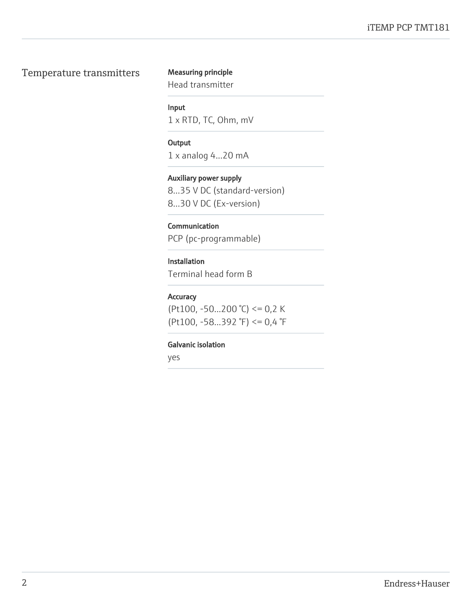### Temperature transmitters Measuring principle

Head transmitter

### Input

1 x RTD, TC, Ohm, mV

### **Output**

1 x analog 4...20 mA

### Auxiliary power supply

8...35 V DC (standard-version) 8...30 V DC (Ex-version)

### **Communication**

PCP (pc-programmable)

### Installation

Terminal head form B

### Accuracy

(Pt100, -50...200 °C) <=  $0,2$  K (Pt100, -58...392 °F) <= 0,4 °F

### Galvanic isolation

yes